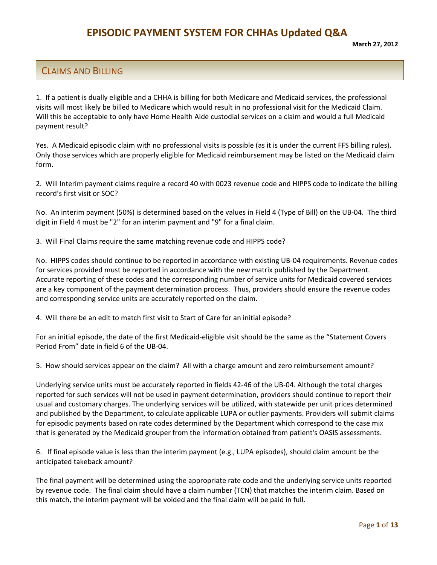#### CLAIMS AND BILLING

 1. If a patient is dually eligible and a CHHA is billing for both Medicare and Medicaid services, the professional visits will most likely be billed to Medicare which would result in no professional visit for the Medicaid Claim. Will this be acceptable to only have Home Health Aide custodial services on a claim and would a full Medicaid payment result?

 Yes. A Medicaid episodic claim with no professional visits is possible (as it is under the current FFS billing rules). Only those services which are properly eligible for Medicaid reimbursement may be listed on the Medicaid claim form.

 2. Will Interim payment claims require a record 40 with 0023 revenue code and HIPPS code to indicate the billing record's first visit or SOC?

 No. An interim payment (50%) is determined based on the values in Field 4 (Type of Bill) on the UB‐04. The third digit in Field 4 must be "2" for an interim payment and "9" for a final claim.

3. Will Final Claims require the same matching revenue code and HIPPS code?

 No. HIPPS codes should continue to be reported in accordance with existing UB‐04 requirements. Revenue codes for services provided must be reported in accordance with the new matrix published by the Department. Accurate reporting of these codes and the corresponding number of service units for Medicaid covered services are a key component of the payment determination process. Thus, providers should ensure the revenue codes and corresponding service units are accurately reported on the claim.

4. Will there be an edit to match first visit to Start of Care for an initial episode?

 For an initial episode, the date of the first Medicaid‐eligible visit should be the same as the "Statement Covers Period From" date in field 6 of the UB‐04.

5. How should services appear on the claim? All with a charge amount and zero reimbursement amount?

 Underlying service units must be accurately reported in fields 42‐46 of the UB‐04. Although the total charges reported for such services will not be used in payment determination, providers should continue to report their usual and customary charges. The underlying services will be utilized, with statewide per unit prices determined and published by the Department, to calculate applicable LUPA or outlier payments. Providers will submit claims for episodic payments based on rate codes determined by the Department which correspond to the case mix that is generated by the Medicaid grouper from the information obtained from patient's OASIS assessments.

 6. If final episode value is less than the interim payment (e.g., LUPA episodes), should claim amount be the anticipated takeback amount?

 The final payment will be determined using the appropriate rate code and the underlying service units reported by revenue code. The final claim should have a claim number (TCN) that matches the interim claim. Based on this match, the interim payment will be voided and the final claim will be paid in full.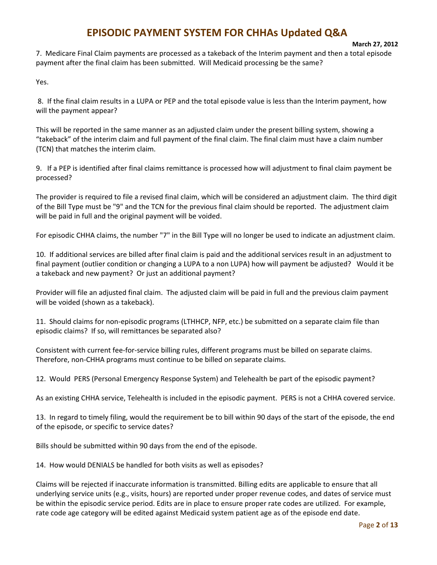#### **March 27, 2012**

 7. Medicare Final Claim payments are processed as a takeback of the Interim payment and then a total episode payment after the final claim has been submitted. Will Medicaid processing be the same?

Yes.

 8. If the final claim results in a LUPA or PEP and the total episode value is less than the Interim payment, how will the payment appear?

 This will be reported in the same manner as an adjusted claim under the present billing system, showing a "takeback" of the interim claim and full payment of the final claim. The final claim must have a claim number (TCN) that matches the interim claim.

 9. If a PEP is identified after final claims remittance is processed how will adjustment to final claim payment be processed?

 The provider is required to file a revised final claim, which will be considered an adjustment claim. The third digit of the Bill Type must be "9" and the TCN for the previous final claim should be reported. The adjustment claim will be paid in full and the original payment will be voided.

For episodic CHHA claims, the number "7" in the Bill Type will no longer be used to indicate an adjustment claim.

 10. If additional services are billed after final claim is paid and the additional services result in an adjustment to final payment (outlier condition or changing a LUPA to a non LUPA) how will payment be adjusted? Would it be a takeback and new payment? Or just an additional payment?

 Provider will file an adjusted final claim. The adjusted claim will be paid in full and the previous claim payment will be voided (shown as a takeback).

 11. Should claims for non‐episodic programs (LTHHCP, NFP, etc.) be submitted on a separate claim file than episodic claims? If so, will remittances be separated also?

 Consistent with current fee‐for‐service billing rules, different programs must be billed on separate claims. Therefore, non‐CHHA programs must continue to be billed on separate claims.

12. Would PERS (Personal Emergency Response System) and Telehealth be part of the episodic payment?

As an existing CHHA service, Telehealth is included in the episodic payment. PERS is not a CHHA covered service.

 13. In regard to timely filing, would the requirement be to bill within 90 days of the start of the episode, the end of the episode, or specific to service dates?

Bills should be submitted within 90 days from the end of the episode.

14. How would DENIALS be handled for both visits as well as episodes?

 Claims will be rejected if inaccurate information is transmitted. Billing edits are applicable to ensure that all underlying service units (e.g., visits, hours) are reported under proper revenue codes, and dates of service must be within the episodic service period. Edits are in place to ensure proper rate codes are utilized. For example, rate code age category will be edited against Medicaid system patient age as of the episode end date.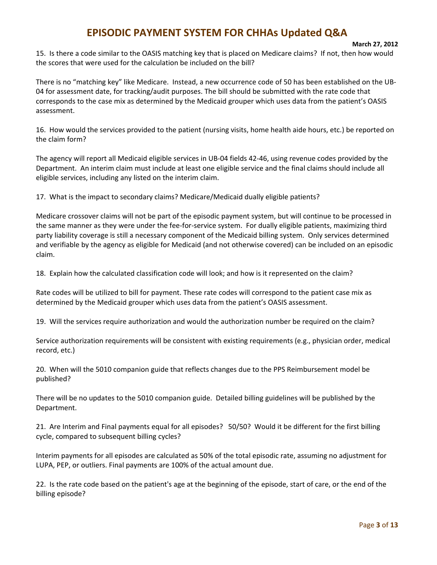**March 27, 2012**

 15. Is there a code similar to the OASIS matching key that is placed on Medicare claims? If not, then how would the scores that were used for the calculation be included on the bill?

 There is no "matching key" like Medicare. Instead, a new occurrence code of 50 has been established on the UB‐ 04 for assessment date, for tracking/audit purposes. The bill should be submitted with the rate code that corresponds to the case mix as determined by the Medicaid grouper which uses data from the patient's OASIS assessment.

 16. How would the services provided to the patient (nursing visits, home health aide hours, etc.) be reported on the claim form?

 The agency will report all Medicaid eligible services in UB‐04 fields 42‐46, using revenue codes provided by the Department. An interim claim must include at least one eligible service and the final claims should include all eligible services, including any listed on the interim claim.

17. What is the impact to secondary claims? Medicare/Medicaid dually eligible patients?

 Medicare crossover claims will not be part of the episodic payment system, but will continue to be processed in the same manner as they were under the fee‐for‐service system. For dually eligible patients, maximizing third party liability coverage is still a necessary component of the Medicaid billing system. Only services determined and verifiable by the agency as eligible for Medicaid (and not otherwise covered) can be included on an episodic claim.

18. Explain how the calculated classification code will look; and how is it represented on the claim?

 Rate codes will be utilized to bill for payment. These rate codes will correspond to the patient case mix as determined by the Medicaid grouper which uses data from the patient's OASIS assessment.

19. Will the services require authorization and would the authorization number be required on the claim?

 Service authorization requirements will be consistent with existing requirements (e.g., physician order, medical record, etc.)

 20. When will the 5010 companion guide that reflects changes due to the PPS Reimbursement model be published?

 There will be no updates to the 5010 companion guide. Detailed billing guidelines will be published by the Department.

 21. Are Interim and Final payments equal for all episodes? 50/50? Would it be different for the first billing cycle, compared to subsequent billing cycles?

 Interim payments for all episodes are calculated as 50% of the total episodic rate, assuming no adjustment for LUPA, PEP, or outliers. Final payments are 100% of the actual amount due.

 22. Is the rate code based on the patient's age at the beginning of the episode, start of care, or the end of the billing episode?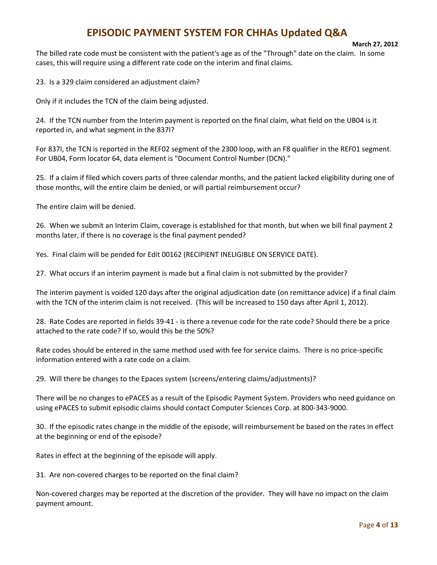#### **March 27, 2012**

 The billed rate code must be consistent with the patient's age as of the "Through" date on the claim. In some cases, this will require using a different rate code on the interim and final claims.

23. Is a 329 claim considered an adjustment claim?

Only if it includes the TCN of the claim being adjusted.

 24. If the TCN number from the Interim payment is reported on the final claim, what field on the UB04 is it reported in, and what segment in the 837I?

 For 837I, the TCN is reported in the REF02 segment of the 2300 loop, with an F8 qualifier in the REF01 segment. For UB04, Form locator 64, data element is "Document Control Number (DCN)."

 25. If a claim if filed which covers parts of three calendar months, and the patient lacked eligibility during one of those months, will the entire claim be denied, or will partial reimbursement occur?

The entire claim will be denied.

 26. When we submit an Interim Claim, coverage is established for that month, but when we bill final payment 2 months later, if there is no coverage is the final payment pended?

Yes. Final claim will be pended for Edit 00162 (RECIPIENT INELIGIBLE ON SERVICE DATE).

27. What occurs if an interim payment is made but a final claim is not submitted by the provider?

 The interim payment is voided 120 days after the original adjudication date (on remittance advice) if a final claim with the TCN of the interim claim is not received. (This will be increased to 150 days after April 1, 2012).

 28. Rate Codes are reported in fields 39‐41 ‐ is there a revenue code for the rate code? Should there be a price attached to the rate code? If so, would this be the 50%?

 Rate codes should be entered in the same method used with fee for service claims. There is no price‐specific information entered with a rate code on a claim.

29. Will there be changes to the Epaces system (screens/entering claims/adjustments)?

 There will be no changes to ePACES as a result of the Episodic Payment System. Providers who need guidance on using ePACES to submit episodic claims should contact Computer Sciences Corp. at 800‐343‐9000.

 30. If the episodic rates change in the middle of the episode, will reimbursement be based on the rates in effect at the beginning or end of the episode?

Rates in effect at the beginning of the episode will apply.

31. Are non‐covered charges to be reported on the final claim?

 Non‐covered charges may be reported at the discretion of the provider. They will have no impact on the claim payment amount.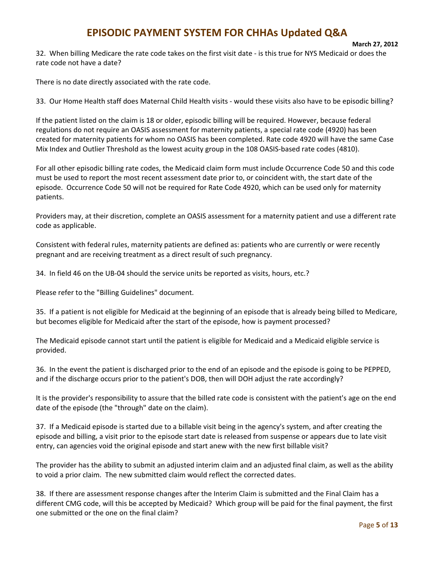```
     
March 27, 2012
```
 32. When billing Medicare the rate code takes on the first visit date ‐ is this true for NYS Medicaid or does the rate code not have a date?

There is no date directly associated with the rate code.

33. Our Home Health staff does Maternal Child Health visits ‐ would these visits also have to be episodic billing?

 If the patient listed on the claim is 18 or older, episodic billing will be required. However, because federal regulations do not require an OASIS assessment for maternity patients, a special rate code (4920) has been created for maternity patients for whom no OASIS has been completed. Rate code 4920 will have the same Case Mix Index and Outlier Threshold as the lowest acuity group in the 108 OASIS‐based rate codes (4810).

 For all other episodic billing rate codes, the Medicaid claim form must include Occurrence Code 50 and this code must be used to report the most recent assessment date prior to, or coincident with, the start date of the episode. Occurrence Code 50 will not be required for Rate Code 4920, which can be used only for maternity patients.

 Providers may, at their discretion, complete an OASIS assessment for a maternity patient and use a different rate code as applicable.

 Consistent with federal rules, maternity patients are defined as: patients who are currently or were recently pregnant and are receiving treatment as a direct result of such pregnancy.

34. In field 46 on the UB‐04 should the service units be reported as visits, hours, etc.?

Please refer to the "Billing Guidelines" document.

 35. If a patient is not eligible for Medicaid at the beginning of an episode that is already being billed to Medicare, but becomes eligible for Medicaid after the start of the episode, how is payment processed?

 The Medicaid episode cannot start until the patient is eligible for Medicaid and a Medicaid eligible service is provided.

 36. In the event the patient is discharged prior to the end of an episode and the episode is going to be PEPPED, and if the discharge occurs prior to the patient's DOB, then will DOH adjust the rate accordingly?

 It is the provider's responsibility to assure that the billed rate code is consistent with the patient's age on the end date of the episode (the "through" date on the claim).

 37. If a Medicaid episode is started due to a billable visit being in the agency's system, and after creating the episode and billing, a visit prior to the episode start date is released from suspense or appears due to late visit entry, can agencies void the original episode and start anew with the new first billable visit?

 The provider has the ability to submit an adjusted interim claim and an adjusted final claim, as well as the ability to void a prior claim. The new submitted claim would reflect the corrected dates.

 38. If there are assessment response changes after the Interim Claim is submitted and the Final Claim has a different CMG code, will this be accepted by Medicaid? Which group will be paid for the final payment, the first one submitted or the one on the final claim?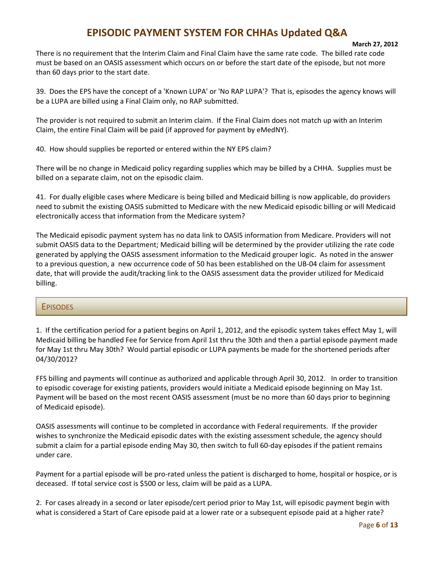#### **March 27, 2012**

 There is no requirement that the Interim Claim and Final Claim have the same rate code. The billed rate code must be based on an OASIS assessment which occurs on or before the start date of the episode, but not more than 60 days prior to the start date.

 39. Does the EPS have the concept of a 'Known LUPA' or 'No RAP LUPA'? That is, episodes the agency knows will be a LUPA are billed using a Final Claim only, no RAP submitted.

 The provider is not required to submit an Interim claim. If the Final Claim does not match up with an Interim Claim, the entire Final Claim will be paid (if approved for payment by eMedNY).

40. How should supplies be reported or entered within the NY EPS claim?

 There will be no change in Medicaid policy regarding supplies which may be billed by a CHHA. Supplies must be billed on a separate claim, not on the episodic claim.

 41. For dually eligible cases where Medicare is being billed and Medicaid billing is now applicable, do providers need to submit the existing OASIS submitted to Medicare with the new Medicaid episodic billing or will Medicaid electronically access that information from the Medicare system?

 The Medicaid episodic payment system has no data link to OASIS information from Medicare. Providers will not submit OASIS data to the Department; Medicaid billing will be determined by the provider utilizing the rate code generated by applying the OASIS assessment information to the Medicaid grouper logic. As noted in the answer to a previous question, a new occurrence code of 50 has been established on the UB‐04 claim for assessment date, that will provide the audit/tracking link to the OASIS assessment data the provider utilized for Medicaid billing.

#### **EPISODES**

 1. If the certification period for a patient begins on April 1, 2012, and the episodic system takes effect May 1, will Medicaid billing be handled Fee for Service from April 1st thru the 30th and then a partial episode payment made for May 1st thru May 30th? Would partial episodic or LUPA payments be made for the shortened periods after 04/30/2012?

 FFS billing and payments will continue as authorized and applicable through April 30, 2012. In order to transition to episodic coverage for existing patients, providers would initiate a Medicaid episode beginning on May 1st. Payment will be based on the most recent OASIS assessment (must be no more than 60 days prior to beginning of Medicaid episode).

 OASIS assessments will continue to be completed in accordance with Federal requirements. If the provider wishes to synchronize the Medicaid episodic dates with the existing assessment schedule, the agency should submit a claim for a partial episode ending May 30, then switch to full 60‐day episodes if the patient remains under care.

 Payment for a partial episode will be pro‐rated unless the patient is discharged to home, hospital or hospice, or is deceased. If total service cost is \$500 or less, claim will be paid as a LUPA.

 2. For cases already in a second or later episode/cert period prior to May 1st, will episodic payment begin with what is considered a Start of Care episode paid at a lower rate or a subsequent episode paid at a higher rate?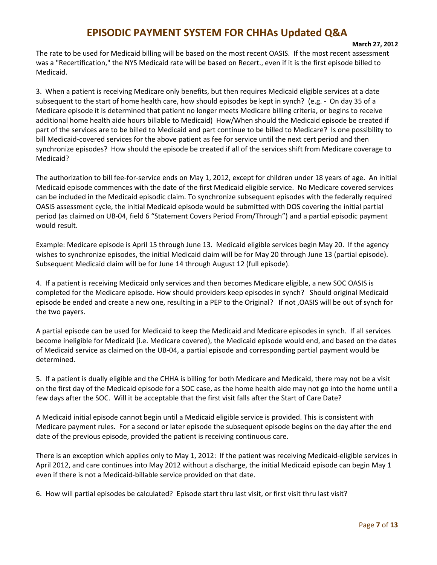#### **March 27, 2012**

 The rate to be used for Medicaid billing will be based on the most recent OASIS. If the most recent assessment was a "Recertification," the NYS Medicaid rate will be based on Recert., even if it is the first episode billed to Medicaid.

 3. When a patient is receiving Medicare only benefits, but then requires Medicaid eligible services at a date subsequent to the start of home health care, how should episodes be kept in synch? (e.g. ‐ On day 35 of a Medicare episode it is determined that patient no longer meets Medicare billing criteria, or begins to receive additional home health aide hours billable to Medicaid) How/When should the Medicaid episode be created if part of the services are to be billed to Medicaid and part continue to be billed to Medicare? Is one possibility to bill Medicaid‐covered services for the above patient as fee for service until the next cert period and then synchronize episodes? How should the episode be created if all of the services shift from Medicare coverage to Medicaid?

 The authorization to bill fee‐for‐service ends on May 1, 2012, except for children under 18 years of age. An initial Medicaid episode commences with the date of the first Medicaid eligible service. No Medicare covered services can be included in the Medicaid episodic claim. To synchronize subsequent episodes with the federally required OASIS assessment cycle, the initial Medicaid episode would be submitted with DOS covering the initial partial period (as claimed on UB‐04, field 6 "Statement Covers Period From/Through") and a partial episodic payment would result.

 Example: Medicare episode is April 15 through June 13. Medicaid eligible services begin May 20. If the agency wishes to synchronize episodes, the initial Medicaid claim will be for May 20 through June 13 (partial episode). Subsequent Medicaid claim will be for June 14 through August 12 (full episode).

 4. If a patient is receiving Medicaid only services and then becomes Medicare eligible, a new SOC OASIS is completed for the Medicare episode. How should providers keep episodes in synch? Should original Medicaid episode be ended and create a new one, resulting in a PEP to the Original? If not ,OASIS will be out of synch for the two payers.

 A partial episode can be used for Medicaid to keep the Medicaid and Medicare episodes in synch. If all services become ineligible for Medicaid (i.e. Medicare covered), the Medicaid episode would end, and based on the dates of Medicaid service as claimed on the UB‐04, a partial episode and corresponding partial payment would be determined.

 5. If a patient is dually eligible and the CHHA is billing for both Medicare and Medicaid, there may not be a visit on the first day of the Medicaid episode for a SOC case, as the home health aide may not go into the home until a few days after the SOC. Will it be acceptable that the first visit falls after the Start of Care Date?

 A Medicaid initial episode cannot begin until a Medicaid eligible service is provided. This is consistent with Medicare payment rules. For a second or later episode the subsequent episode begins on the day after the end date of the previous episode, provided the patient is receiving continuous care.

 There is an exception which applies only to May 1, 2012: If the patient was receiving Medicaid‐eligible services in April 2012, and care continues into May 2012 without a discharge, the initial Medicaid episode can begin May 1 even if there is not a Medicaid‐billable service provided on that date.

6. How will partial episodes be calculated? Episode start thru last visit, or first visit thru last visit?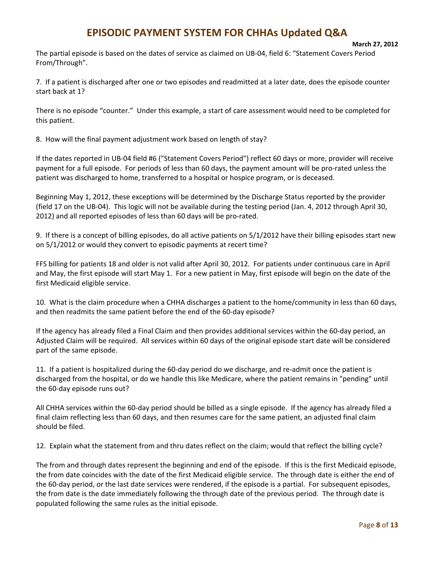The partial episode is based on the dates of service as claimed on UB‐04, field 6: "Statement Covers Period From/Through".

 7. If a patient is discharged after one or two episodes and readmitted at a later date, does the episode counter start back at 1?

 There is no episode "counter." Under this example, a start of care assessment would need to be completed for this patient.

8. How will the final payment adjustment work based on length of stay?

 If the dates reported in UB‐04 field #6 ("Statement Covers Period") reflect 60 days or more, provider will receive payment for a full episode. For periods of less than 60 days, the payment amount will be pro‐rated unless the patient was discharged to home, transferred to a hospital or hospice program, or is deceased.

 Beginning May 1, 2012, these exceptions will be determined by the Discharge Status reported by the provider (field 17 on the UB‐04). This logic will not be available during the testing period (Jan. 4, 2012 through April 30, 2012) and all reported episodes of less than 60 days will be pro‐rated.

 9. If there is a concept of billing episodes, do all active patients on 5/1/2012 have their billing episodes start new on 5/1/2012 or would they convert to episodic payments at recert time?

 FFS billing for patients 18 and older is not valid after April 30, 2012. For patients under continuous care in April and May, the first episode will start May 1. For a new patient in May, first episode will begin on the date of the first Medicaid eligible service.

 10. What is the claim procedure when a CHHA discharges a patient to the home/community in less than 60 days, and then readmits the same patient before the end of the 60‐day episode?

 If the agency has already filed a Final Claim and then provides additional services within the 60‐day period, an Adjusted Claim will be required. All services within 60 days of the original episode start date will be considered part of the same episode.

 11. If a patient is hospitalized during the 60‐day period do we discharge, and re‐admit once the patient is discharged from the hospital, or do we handle this like Medicare, where the patient remains in "pending" until the 60‐day episode runs out?

 All CHHA services within the 60‐day period should be billed as a single episode. If the agency has already filed a final claim reflecting less than 60 days, and then resumes care for the same patient, an adjusted final claim should be filed.

12. Explain what the statement from and thru dates reflect on the claim; would that reflect the billing cycle?

 The from and through dates represent the beginning and end of the episode. If this is the first Medicaid episode, the from date coincides with the date of the first Medicaid eligible service. The through date is either the end of the 60‐day period, or the last date services were rendered, if the episode is a partial. For subsequent episodes, the from date is the date immediately following the through date of the previous period. The through date is populated following the same rules as the initial episode.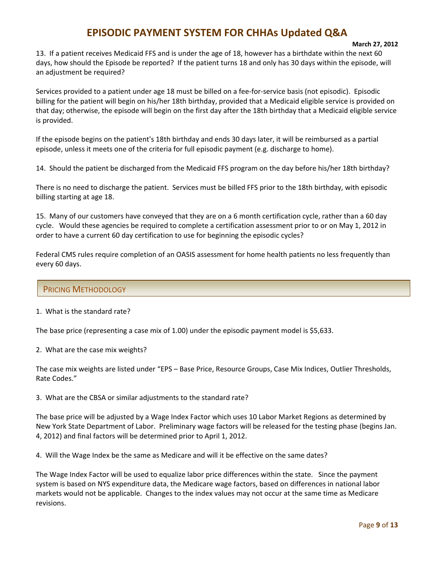#### **March 27, 2012**

 13. If a patient receives Medicaid FFS and is under the age of 18, however has a birthdate within the next 60 days, how should the Episode be reported? If the patient turns 18 and only has 30 days within the episode, will an adjustment be required?

 Services provided to a patient under age 18 must be billed on a fee‐for‐service basis (not episodic). Episodic billing for the patient will begin on his/her 18th birthday, provided that a Medicaid eligible service is provided on that day; otherwise, the episode will begin on the first day after the 18th birthday that a Medicaid eligible service is provided.

 If the episode begins on the patient's 18th birthday and ends 30 days later, it will be reimbursed as a partial episode, unless it meets one of the criteria for full episodic payment (e.g. discharge to home).

14. Should the patient be discharged from the Medicaid FFS program on the day before his/her 18th birthday?

 There is no need to discharge the patient. Services must be billed FFS prior to the 18th birthday, with episodic billing starting at age 18.

 15. Many of our customers have conveyed that they are on a 6 month certification cycle, rather than a 60 day cycle. Would these agencies be required to complete a certification assessment prior to or on May 1, 2012 in order to have a current 60 day certification to use for beginning the episodic cycles?

 Federal CMS rules require completion of an OASIS assessment for home health patients no less frequently than every 60 days.

#### PRICING METHODOLOGY

1. What is the standard rate?

The base price (representing a case mix of 1.00) under the episodic payment model is \$5,633.

2. What are the case mix weights?

 The case mix weights are listed under "EPS – Base Price, Resource Groups, Case Mix Indices, Outlier Thresholds, Rate Codes."

3. What are the CBSA or similar adjustments to the standard rate?

 The base price will be adjusted by a Wage Index Factor which uses 10 Labor Market Regions as determined by New York State Department of Labor. Preliminary wage factors will be released for the testing phase (begins Jan. 4, 2012) and final factors will be determined prior to April 1, 2012.

4. Will the Wage Index be the same as Medicare and will it be effective on the same dates?

 The Wage Index Factor will be used to equalize labor price differences within the state. Since the payment system is based on NYS expenditure data, the Medicare wage factors, based on differences in national labor markets would not be applicable. Changes to the index values may not occur at the same time as Medicare revisions.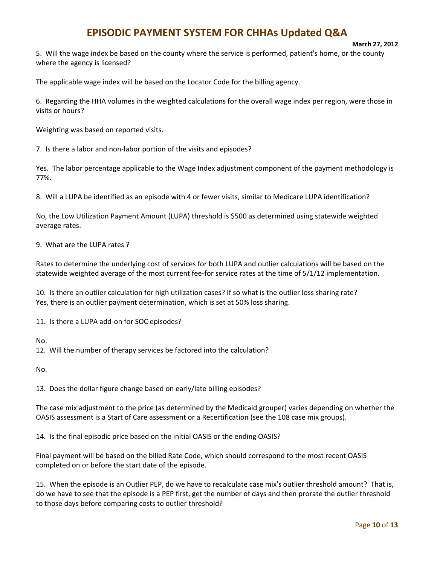#### **March 27, 2012**

 5. Will the wage index be based on the county where the service is performed, patient's home, or the county where the agency is licensed?

The applicable wage index will be based on the Locator Code for the billing agency.

 6. Regarding the HHA volumes in the weighted calculations for the overall wage index per region, were those in visits or hours?

Weighting was based on reported visits.

7. Is there a labor and non‐labor portion of the visits and episodes?

 Yes. The labor percentage applicable to the Wage Index adjustment component of the payment methodology is 77%.

8. Will a LUPA be identified as an episode with 4 or fewer visits, similar to Medicare LUPA identification?

 No, the Low Utilization Payment Amount (LUPA) threshold is \$500 as determined using statewide weighted average rates.

9. What are the LUPA rates ?

 Rates to determine the underlying cost of services for both LUPA and outlier calculations will be based on the statewide weighted average of the most current fee‐for service rates at the time of 5/1/12 implementation.

 10. Is there an outlier calculation for high utilization cases? If so what is the outlier loss sharing rate? Yes, there is an outlier payment determination, which is set at 50% loss sharing.

11. Is there a LUPA add‐on for SOC episodes?

No.

12. Will the number of therapy services be factored into the calculation?

No.

13. Does the dollar figure change based on early/late billing episodes?

 The case mix adjustment to the price (as determined by the Medicaid grouper) varies depending on whether the OASIS assessment is a Start of Care assessment or a Recertification (see the 108 case mix groups).

14. Is the final episodic price based on the initial OASIS or the ending OASIS?

 Final payment will be based on the billed Rate Code, which should correspond to the most recent OASIS completed on or before the start date of the episode.

 15. When the episode is an Outlier PEP, do we have to recalculate case mix's outlier threshold amount? That is, do we have to see that the episode is a PEP first, get the number of days and then prorate the outlier threshold to those days before comparing costs to outlier threshold?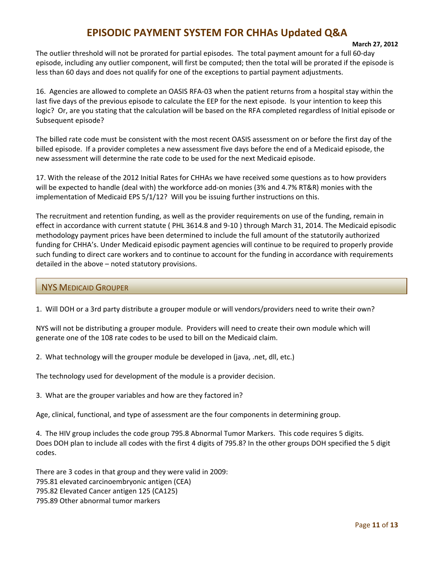#### **March 27, 2012**

 The outlier threshold will not be prorated for partial episodes. The total payment amount for a full 60‐day episode, including any outlier component, will first be computed; then the total will be prorated if the episode is less than 60 days and does not qualify for one of the exceptions to partial payment adjustments.

 16. Agencies are allowed to complete an OASIS RFA‐03 when the patient returns from a hospital stay within the last five days of the previous episode to calculate the EEP for the next episode. Is your intention to keep this logic? Or, are you stating that the calculation will be based on the RFA completed regardless of Initial episode or Subsequent episode?

 The billed rate code must be consistent with the most recent OASIS assessment on or before the first day of the billed episode. If a provider completes a new assessment five days before the end of a Medicaid episode, the new assessment will determine the rate code to be used for the next Medicaid episode.

 17. With the release of the 2012 Initial Rates for CHHAs we have received some questions as to how providers will be expected to handle (deal with) the workforce add‐on monies (3% and 4.7% RT&R) monies with the implementation of Medicaid EPS 5/1/12? Will you be issuing further instructions on this.

 The recruitment and retention funding, as well as the provider requirements on use of the funding, remain in effect in accordance with current statute ( PHL 3614.8 and 9‐10 ) through March 31, 2014. The Medicaid episodic methodology payment prices have been determined to include the full amount of the statutorily authorized funding for CHHA's. Under Medicaid episodic payment agencies will continue to be required to properly provide such funding to direct care workers and to continue to account for the funding in accordance with requirements detailed in the above – noted statutory provisions.

#### NYS MEDICAID GROUPER

1. Will DOH or a 3rd party distribute a grouper module or will vendors/providers need to write their own?

 NYS will not be distributing a grouper module. Providers will need to create their own module which will generate one of the 108 rate codes to be used to bill on the Medicaid claim.

2. What technology will the grouper module be developed in (java, .net, dll, etc.)

The technology used for development of the module is a provider decision.

3. What are the grouper variables and how are they factored in?

Age, clinical, functional, and type of assessment are the four components in determining group.

 4. The HIV group includes the code group 795.8 Abnormal Tumor Markers. This code requires 5 digits. Does DOH plan to include all codes with the first 4 digits of 795.8? In the other groups DOH specified the 5 digit codes.

 There are 3 codes in that group and they were valid in 2009: 795.81 elevated carcinoembryonic antigen (CEA) 795.82 Elevated Cancer antigen 125 (CA125) 795.89 Other abnormal tumor markers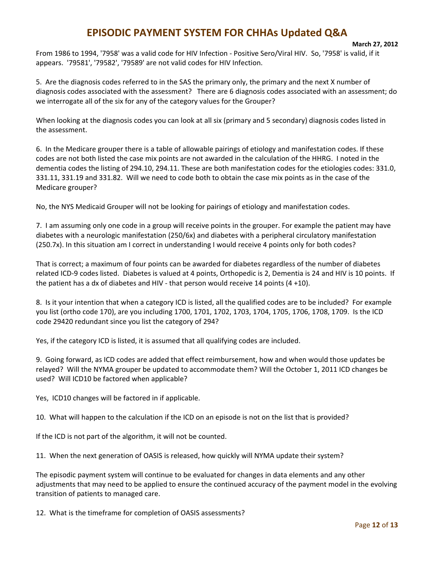#### **March 27, 2012**

 From 1986 to 1994, '7958' was a valid code for HIV Infection ‐ Positive Sero/Viral HIV. So, '7958' is valid, if it appears. '79581', '79582', '79589' are not valid codes for HIV Infection.

 5. Are the diagnosis codes referred to in the SAS the primary only, the primary and the next X number of diagnosis codes associated with the assessment? There are 6 diagnosis codes associated with an assessment; do we interrogate all of the six for any of the category values for the Grouper?

 When looking at the diagnosis codes you can look at all six (primary and 5 secondary) diagnosis codes listed in the assessment.

 6. In the Medicare grouper there is a table of allowable pairings of etiology and manifestation codes. If these codes are not both listed the case mix points are not awarded in the calculation of the HHRG. I noted in the dementia codes the listing of 294.10, 294.11. These are both manifestation codes for the etiologies codes: 331.0, 331.11, 331.19 and 331.82. Will we need to code both to obtain the case mix points as in the case of the Medicare grouper?

No, the NYS Medicaid Grouper will not be looking for pairings of etiology and manifestation codes.

 7. I am assuming only one code in a group will receive points in the grouper. For example the patient may have diabetes with a neurologic manifestation (250/6x) and diabetes with a peripheral circulatory manifestation (250.7x). In this situation am I correct in understanding I would receive 4 points only for both codes?

 That is correct; a maximum of four points can be awarded for diabetes regardless of the number of diabetes related ICD‐9 codes listed. Diabetes is valued at 4 points, Orthopedic is 2, Dementia is 24 and HIV is 10 points. If the patient has a dx of diabetes and HIV ‐ that person would receive 14 points (4 +10).

 8. Is it your intention that when a category ICD is listed, all the qualified codes are to be included? For example you list (ortho code 170), are you including 1700, 1701, 1702, 1703, 1704, 1705, 1706, 1708, 1709. Is the ICD code 29420 redundant since you list the category of 294?

Yes, if the category ICD is listed, it is assumed that all qualifying codes are included.

 9. Going forward, as ICD codes are added that effect reimbursement, how and when would those updates be relayed? Will the NYMA grouper be updated to accommodate them? Will the October 1, 2011 ICD changes be used? Will ICD10 be factored when applicable?

Yes, ICD10 changes will be factored in if applicable.

10. What will happen to the calculation if the ICD on an episode is not on the list that is provided?

If the ICD is not part of the algorithm, it will not be counted.

11. When the next generation of OASIS is released, how quickly will NYMA update their system?

 The episodic payment system will continue to be evaluated for changes in data elements and any other adjustments that may need to be applied to ensure the continued accuracy of the payment model in the evolving transition of patients to managed care.

12. What is the timeframe for completion of OASIS assessments?